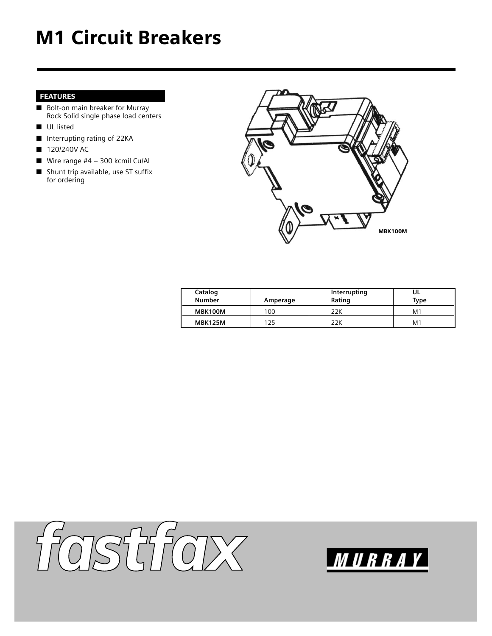## M1 Circuit Breakers

## FEATURES

- Bolt-on main breaker for Murray Rock Solid single phase load centers
- UL listed
- Interrupting rating of 22KA
- 120/240V AC
- Wire range  $#4 300$  kcmil Cu/Al
- Shunt trip available, use ST suffix for ordering



| Catalog<br>Number | Amperage | Interrupting<br>Rating | UL<br>Type     |
|-------------------|----------|------------------------|----------------|
| MBK100M           | 100      | 22K                    | M1             |
| <b>MBK125M</b>    | 125      | 22K                    | M <sub>1</sub> |



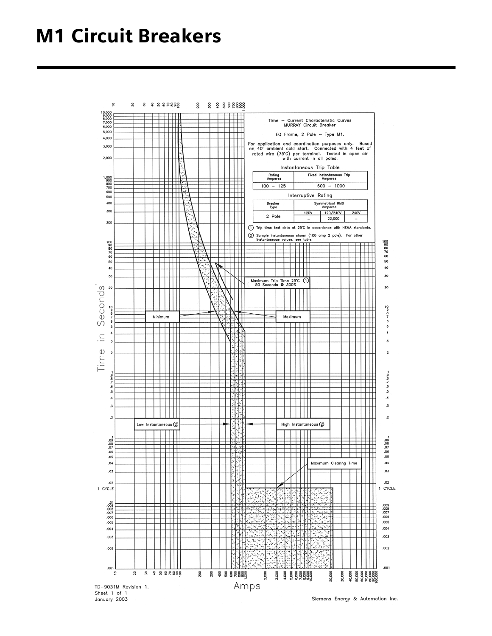## M1 Circuit Breakers

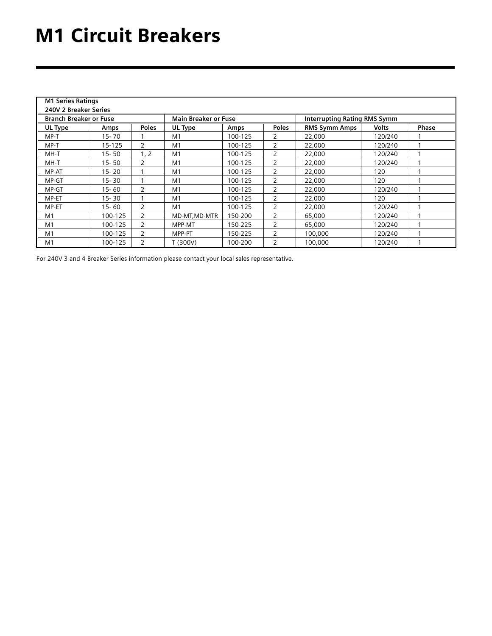| <b>M1 Series Ratings</b>      |           |                |                             |         |                |                                     |              |       |  |  |
|-------------------------------|-----------|----------------|-----------------------------|---------|----------------|-------------------------------------|--------------|-------|--|--|
| 240V 2 Breaker Series         |           |                |                             |         |                |                                     |              |       |  |  |
| <b>Branch Breaker or Fuse</b> |           |                | <b>Main Breaker or Fuse</b> |         |                | <b>Interrupting Rating RMS Symm</b> |              |       |  |  |
| UL Type                       | Amps      | <b>Poles</b>   | UL Type                     | Amps    | <b>Poles</b>   | <b>RMS Symm Amps</b>                | <b>Volts</b> | Phase |  |  |
| $MP-T$                        | $15 - 70$ |                | M <sub>1</sub>              | 100-125 | $\overline{2}$ | 22,000                              | 120/240      |       |  |  |
| $MP-T$                        | 15-125    | 2              | M <sub>1</sub>              | 100-125 | $\overline{2}$ | 22,000                              | 120/240      |       |  |  |
| MH-T                          | $15 - 50$ | 1, 2           | M <sub>1</sub>              | 100-125 | $\overline{2}$ | 22,000                              | 120/240      |       |  |  |
| MH-T                          | $15 - 50$ | 2              | M <sub>1</sub>              | 100-125 | $\overline{2}$ | 22,000                              | 120/240      |       |  |  |
| MP-AT                         | $15 - 20$ |                | M <sub>1</sub>              | 100-125 | 2              | 22,000                              | 120          |       |  |  |
| MP-GT                         | $15 - 30$ |                | M <sub>1</sub>              | 100-125 | $\overline{2}$ | 22,000                              | 120          |       |  |  |
| MP-GT                         | $15 - 60$ | $\overline{2}$ | M <sub>1</sub>              | 100-125 | $\overline{2}$ | 22.000                              | 120/240      | 1     |  |  |
| MP-ET                         | $15 - 30$ |                | M <sub>1</sub>              | 100-125 | $\overline{2}$ | 22.000                              | 120          |       |  |  |
| MP-ET                         | $15 - 60$ | $\overline{2}$ | M <sub>1</sub>              | 100-125 | $\overline{2}$ | 22,000                              | 120/240      |       |  |  |
| M1                            | 100-125   | $\overline{2}$ | MD-MT.MD-MTR                | 150-200 | $\overline{2}$ | 65.000                              | 120/240      |       |  |  |
| M1                            | 100-125   | $\overline{2}$ | MPP-MT                      | 150-225 | $\overline{2}$ | 65.000                              | 120/240      |       |  |  |
| M <sub>1</sub>                | 100-125   | $\overline{2}$ | MPP-PT                      | 150-225 | $\overline{2}$ | 100,000                             | 120/240      |       |  |  |
| M1                            | 100-125   | $\overline{2}$ | T (300V)                    | 100-200 | $\overline{2}$ | 100,000                             | 120/240      |       |  |  |

For 240V 3 and 4 Breaker Series information please contact your local sales representative.